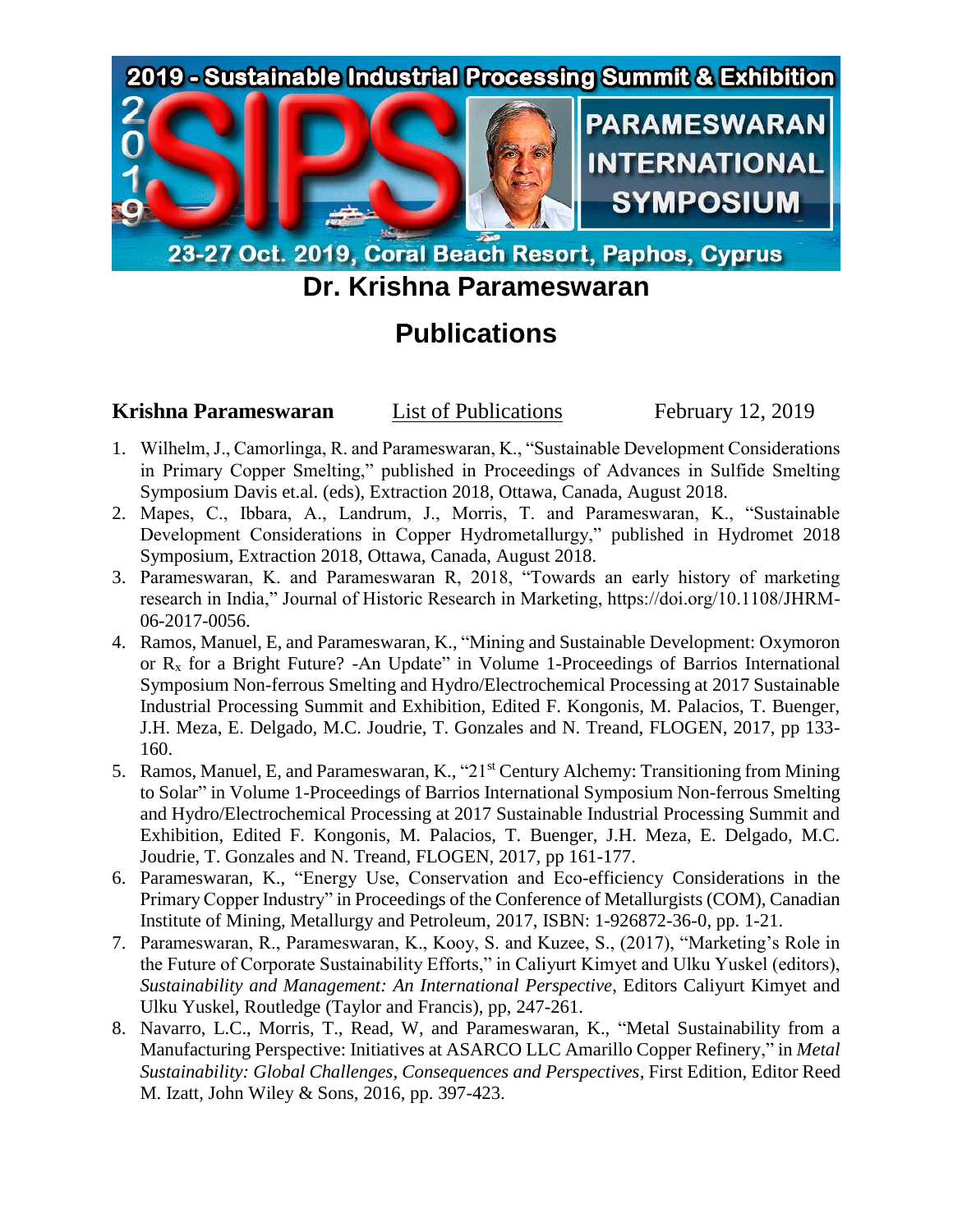

23-27 Oct. 2019, Coral Beach Resort, Paphos, Cyprus

## **Dr. Krishna Parameswaran**

## **Publications**

## **Krishna Parameswaran** List of Publications February 12, 2019

- 1. Wilhelm, J., Camorlinga, R. and Parameswaran, K., "Sustainable Development Considerations in Primary Copper Smelting," published in Proceedings of Advances in Sulfide Smelting Symposium Davis et.al. (eds), Extraction 2018, Ottawa, Canada, August 2018.
- 2. Mapes, C., Ibbara, A., Landrum, J., Morris, T. and Parameswaran, K., "Sustainable Development Considerations in Copper Hydrometallurgy," published in Hydromet 2018 Symposium, Extraction 2018, Ottawa, Canada, August 2018.
- 3. Parameswaran, K. and Parameswaran R, 2018, "Towards an early history of marketing research in India," Journal of Historic Research in Marketing, https://doi.org/10.1108/JHRM-06-2017-0056.
- 4. Ramos, Manuel, E, and Parameswaran, K., "Mining and Sustainable Development: Oxymoron or  $R<sub>x</sub>$  for a Bright Future? -An Update" in Volume 1-Proceedings of Barrios International Symposium Non-ferrous Smelting and Hydro/Electrochemical Processing at 2017 Sustainable Industrial Processing Summit and Exhibition, Edited F. Kongonis, M. Palacios, T. Buenger, J.H. Meza, E. Delgado, M.C. Joudrie, T. Gonzales and N. Treand, FLOGEN, 2017, pp 133- 160.
- 5. Ramos, Manuel, E, and Parameswaran, K., "21st Century Alchemy: Transitioning from Mining to Solar" in Volume 1-Proceedings of Barrios International Symposium Non-ferrous Smelting and Hydro/Electrochemical Processing at 2017 Sustainable Industrial Processing Summit and Exhibition, Edited F. Kongonis, M. Palacios, T. Buenger, J.H. Meza, E. Delgado, M.C. Joudrie, T. Gonzales and N. Treand, FLOGEN, 2017, pp 161-177.
- 6. Parameswaran, K., "Energy Use, Conservation and Eco-efficiency Considerations in the Primary Copper Industry" in Proceedings of the Conference of Metallurgists (COM), Canadian Institute of Mining, Metallurgy and Petroleum, 2017, ISBN: 1-926872-36-0, pp. 1-21.
- 7. Parameswaran, R., Parameswaran, K., Kooy, S. and Kuzee, S., (2017), "Marketing's Role in the Future of Corporate Sustainability Efforts," in Caliyurt Kimyet and Ulku Yuskel (editors), *Sustainability and Management: An International Perspective*, Editors Caliyurt Kimyet and Ulku Yuskel, Routledge (Taylor and Francis), pp, 247-261.
- 8. Navarro, L.C., Morris, T., Read, W, and Parameswaran, K., "Metal Sustainability from a Manufacturing Perspective: Initiatives at ASARCO LLC Amarillo Copper Refinery," in *Metal Sustainability: Global Challenges, Consequences and Perspectives*, First Edition, Editor Reed M. Izatt, John Wiley & Sons, 2016, pp. 397-423.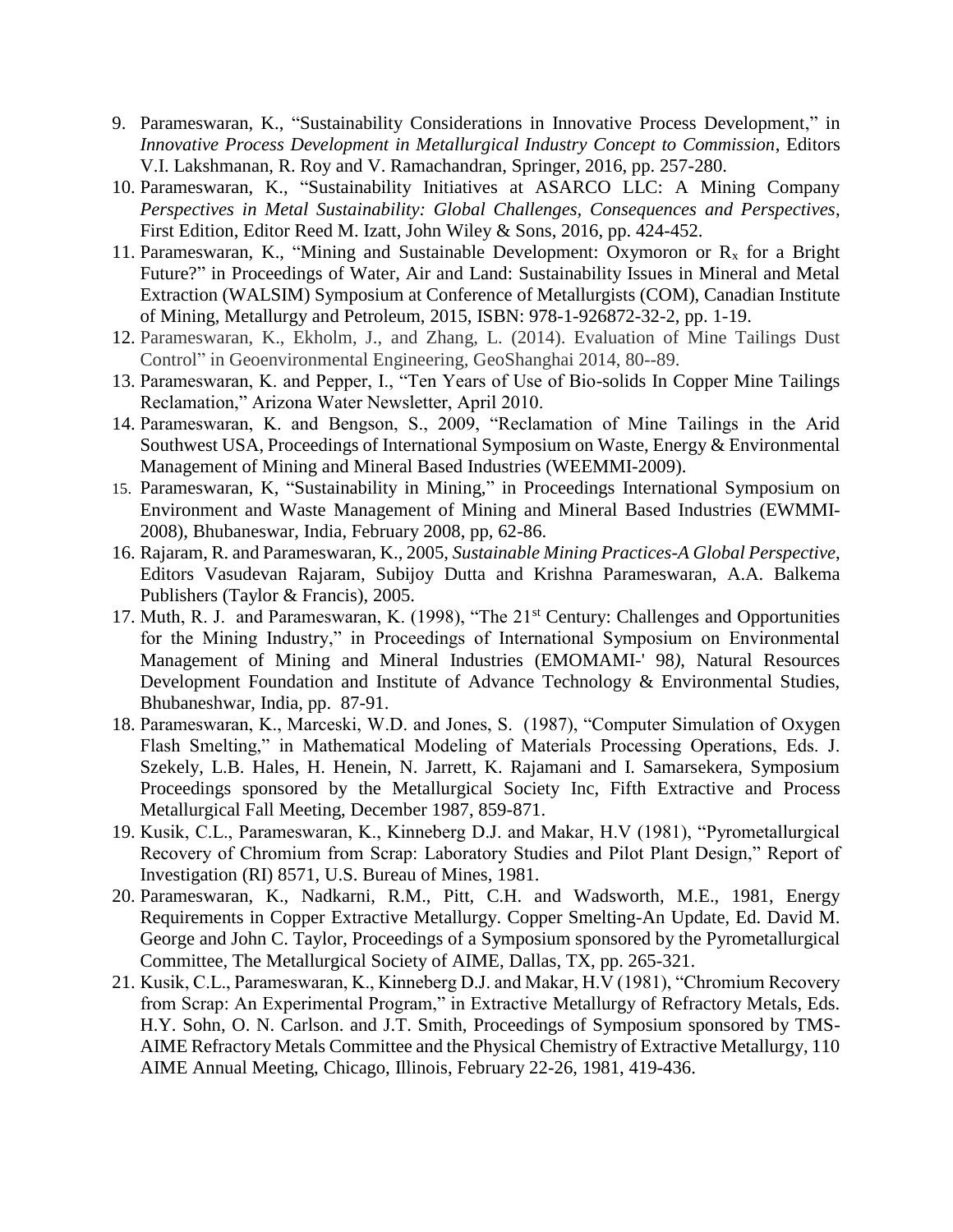- 9. Parameswaran, K., "Sustainability Considerations in Innovative Process Development," in *Innovative Process Development in Metallurgical Industry Concept to Commission*, Editors V.I. Lakshmanan, R. Roy and V. Ramachandran, Springer, 2016, pp. 257-280.
- 10. Parameswaran, K., "Sustainability Initiatives at ASARCO LLC: A Mining Company *Perspectives in Metal Sustainability: Global Challenges, Consequences and Perspectives*, First Edition, Editor Reed M. Izatt, John Wiley & Sons, 2016, pp. 424-452.
- 11. Parameswaran, K., "Mining and Sustainable Development: Oxymoron or  $R_x$  for a Bright Future?" in Proceedings of Water, Air and Land: Sustainability Issues in Mineral and Metal Extraction (WALSIM) Symposium at Conference of Metallurgists (COM), Canadian Institute of Mining, Metallurgy and Petroleum, 2015, ISBN: 978-1-926872-32-2, pp. 1-19.
- 12. Parameswaran, K., Ekholm, J., and Zhang, L. (2014). Evaluation of Mine Tailings Dust Control" in Geoenvironmental Engineering*,* GeoShanghai 2014, 80--89.
- 13. Parameswaran, K. and Pepper, I., "Ten Years of Use of Bio-solids In Copper Mine Tailings Reclamation," Arizona Water Newsletter, April 2010.
- 14. Parameswaran, K. and Bengson, S., 2009, "Reclamation of Mine Tailings in the Arid Southwest USA, Proceedings of International Symposium on Waste, Energy & Environmental Management of Mining and Mineral Based Industries (WEEMMI-2009).
- 15. Parameswaran, K, "Sustainability in Mining," in Proceedings International Symposium on Environment and Waste Management of Mining and Mineral Based Industries (EWMMI-2008), Bhubaneswar, India, February 2008, pp, 62-86.
- 16. Rajaram, R. and Parameswaran, K., 2005, *Sustainable Mining Practices-A Global Perspective*, Editors Vasudevan Rajaram, Subijoy Dutta and Krishna Parameswaran, A.A. Balkema Publishers (Taylor & Francis), 2005.
- 17. Muth, R. J. and Parameswaran, K. (1998), "The 21<sup>st</sup> Century: Challenges and Opportunities for the Mining Industry," in Proceedings of International Symposium on Environmental Management of Mining and Mineral Industries (EMOMAMI-' 98*)*, Natural Resources Development Foundation and Institute of Advance Technology & Environmental Studies, Bhubaneshwar, India, pp. 87-91.
- 18. Parameswaran, K., Marceski, W.D. and Jones, S. (1987), "Computer Simulation of Oxygen Flash Smelting," in Mathematical Modeling of Materials Processing Operations, Eds. J. Szekely, L.B. Hales, H. Henein, N. Jarrett, K. Rajamani and I. Samarsekera, Symposium Proceedings sponsored by the Metallurgical Society Inc, Fifth Extractive and Process Metallurgical Fall Meeting, December 1987, 859-871.
- 19. Kusik, C.L., Parameswaran, K., Kinneberg D.J. and Makar, H.V (1981), "Pyrometallurgical Recovery of Chromium from Scrap: Laboratory Studies and Pilot Plant Design," Report of Investigation (RI) 8571, U.S. Bureau of Mines, 1981.
- 20. Parameswaran, K., Nadkarni, R.M., Pitt, C.H. and Wadsworth, M.E., 1981, Energy Requirements in Copper Extractive Metallurgy. Copper Smelting-An Update, Ed. David M. George and John C. Taylor, Proceedings of a Symposium sponsored by the Pyrometallurgical Committee, The Metallurgical Society of AIME, Dallas, TX, pp. 265-321.
- 21. Kusik, C.L., Parameswaran, K., Kinneberg D.J. and Makar, H.V (1981), "Chromium Recovery from Scrap: An Experimental Program," in Extractive Metallurgy of Refractory Metals, Eds. H.Y. Sohn, O. N. Carlson. and J.T. Smith, Proceedings of Symposium sponsored by TMS-AIME Refractory Metals Committee and the Physical Chemistry of Extractive Metallurgy, 110 AIME Annual Meeting, Chicago, Illinois, February 22-26, 1981, 419-436.